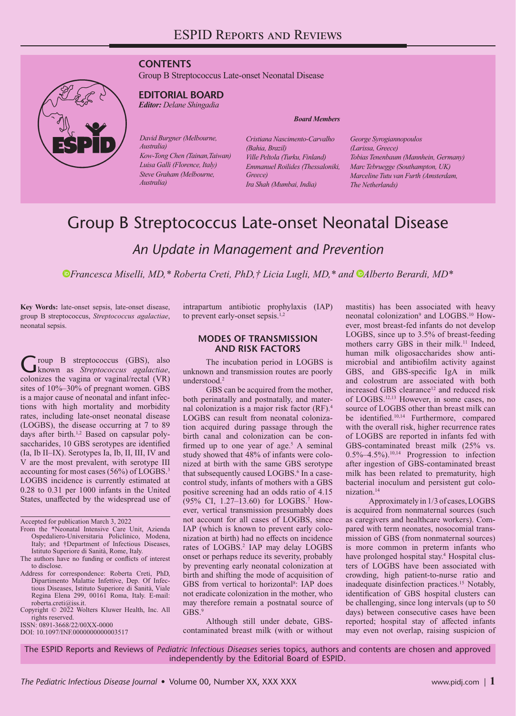# **CONTENTS**

Group B Streptococcus Late-onset Neonatal Disease



# **EDITORIAL BOARD**

*Editor: Delane Shingadia*

*David Burgner (Melbourne, Australia) Kow-Tong Chen (Tainan,Taiwan) Luisa Galli (Florence, Italy) Steve Graham (Melbourne, Australia)*

*Board Members*

*Cristiana Nascimento-Carvalho (Bahia, Brazil) Ville Peltola (Turku, Finland) Emmanuel Roilides (Thessaloniki, Greece) Ira Shah (Mumbai, India)*

*George Syrogiannopoulos (Larissa, Greece) Tobias Tenenbaum (Mannhein, Germany) Marc Tebruegge (Southampton, UK) Marceline Tutu van Furth (Amsterdam, The Netherlands)*

# Group B Streptococcus Late-onset Neonatal Disease

*An Update in Management and Prevention*

*Francesca Miselli, MD,\* Roberta Creti, PhD,† Licia Lugli, MD,\* and [A](https://orcid.org/0000-0002-3534-7499)lberto Berardi, MD\** 

**Key Words:** late-onset sepsis, late-onset disease, group B streptococcus, *Streptococcus agalactiae*, neonatal sepsis.

Group B streptococcus (GBS), also known as *Streptococcus agalactiae*, colonizes the vagina or vaginal/rectal (VR) sites of 10%–30% of pregnant women. GBS is a major cause of neonatal and infant infections with high mortality and morbidity rates, including late-onset neonatal disease (LOGBS), the disease occurring at 7 to 89 days after birth.<sup>1,2</sup> Based on capsular polysaccharides, 10 GBS serotypes are identified (Ia, Ib II–IX). Serotypes Ia, Ib, II, III, IV and V are the most prevalent, with serotype III accounting for most cases (56%) of LOGBS.3 LOGBS incidence is currently estimated at 0.28 to 0.31 per 1000 infants in the United States, unaffected by the widespread use of

Accepted for publication March 3, 2022

- From the \*Neonatal Intensive Care Unit, Azienda Ospedaliero-Universitaria Policlinico, Modena, Italy; and †Department of Infectious Diseases, Istituto Superiore di Sanità, Rome, Italy.
- The authors have no funding or conflicts of interest to disclose.
- Address for correspondence: Roberta Creti, PhD, Dipartimento Malattie Infettive, Dep. Of Infectious Diseases, Istituto Superiore di Sanità, Viale Regina Elena 299, 00161 Roma, Italy. E-mail:
- [roberta.creti@iss.it](mailto:roberta.creti@iss.it). Copyright © 2022 Wolters Kluwer Health, Inc. All rights reserved.

ISSN: 0891-3668/22/00XX-0000

DOI: 10.1097/INF.0000000000003517

intrapartum antibiotic prophylaxis (IAP) to prevent early-onset sepsis.<sup>1,2</sup>

#### **MODES OF TRANSMISSION AND RISK FACTORS**

The incubation period in LOGBS is unknown and transmission routes are poorly understood.<sup>2</sup>

GBS can be acquired from the mother, both perinatally and postnatally, and maternal colonization is a major risk factor (RF).4 LOGBS can result from neonatal colonization acquired during passage through the birth canal and colonization can be confirmed up to one year of age.<sup>5</sup> A seminal study showed that 48% of infants were colonized at birth with the same GBS serotype that subsequently caused LOGBS.<sup>6</sup> In a casecontrol study, infants of mothers with a GBS positive screening had an odds ratio of 4.15 (95% CI, 1.27–13.60) for LOGBS.7 However, vertical transmission presumably does not account for all cases of LOGBS, since IAP (which is known to prevent early colonization at birth) had no effects on incidence rates of LOGBS.<sup>2</sup> IAP may delay LOGBS onset or perhaps reduce its severity, probably by preventing early neonatal colonization at birth and shifting the mode of acquisition of GBS from vertical to horizontal<sup>8</sup>: IAP does not eradicate colonization in the mother, who may therefore remain a postnatal source of  $GRS<sup>9</sup>$ 

Although still under debate, GBScontaminated breast milk (with or without mastitis) has been associated with heavy neonatal colonization<sup>9</sup> and LOGBS.<sup>10</sup> However, most breast-fed infants do not develop LOGBS, since up to 3.5% of breast-feeding mothers carry GBS in their milk.<sup>11</sup> Indeed, human milk oligosaccharides show antimicrobial and antibiofilm activity against GBS, and GBS-specific IgA in milk and colostrum are associated with both increased GBS clearance<sup>12</sup> and reduced risk of LOGBS.12,13 However, in some cases, no source of LOGBS other than breast milk can be identified.10,14 Furthermore, compared with the overall risk, higher recurrence rates of LOGBS are reported in infants fed with GBS-contaminated breast milk (25% vs.  $0.5\%$ –4.5%).<sup>10,14</sup> Progression to infection after ingestion of GBS-contaminated breast milk has been related to prematurity, high bacterial inoculum and persistent gut colonization.14

Approximately in 1/3 of cases, LOGBS is acquired from nonmaternal sources (such as caregivers and healthcare workers). Compared with term neonates, nosocomial transmission of GBS (from nonmaternal sources) is more common in preterm infants who have prolonged hospital stay.<sup>4</sup> Hospital clusters of LOGBS have been associated with crowding, high patient-to-nurse ratio and inadequate disinfection practices.15 Notably, identification of GBS hospital clusters can be challenging, since long intervals (up to 50 days) between consecutive cases have been reported; hospital stay of affected infants may even not overlap, raising suspicion of

The ESPID Reports and Reviews of *Pediatric Infectious Diseases* series topics, authors and contents are chosen and approved independently by the Editorial Board of ESPID.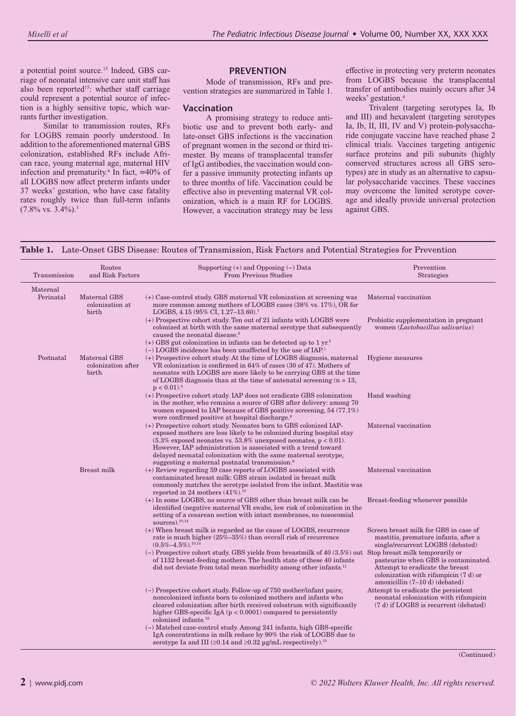a potential point source.<sup>15</sup> Indeed, GBS carriage of neonatal intensive care unit staff has also been reported<sup>15</sup>: whether staff carriage could represent a potential source of infection is a highly sensitive topic, which warrants further investigation.

Similar to transmission routes, RFs for LOGBS remain poorly understood. In addition to the aforementioned maternal GBS colonization, established RFs include African race, young maternal age, maternal HIV infection and prematurity.<sup>4</sup> In fact,  $\approx 40\%$  of all LOGBS now affect preterm infants under 37 weeks' gestation, who have case fatality rates roughly twice than full-term infants  $(7.8\% \text{ vs. } 3.4\%)$ .<sup>3</sup>

## **PREVENTION**

Mode of transmission, RFs and prevention strategies are summarized in Table 1.

#### **Vaccination**

A promising strategy to reduce antibiotic use and to prevent both early- and late-onset GBS infections is the vaccination of pregnant women in the second or third trimester. By means of transplacental transfer of IgG antibodies, the vaccination would confer a passive immunity protecting infants up to three months of life. Vaccination could be effective also in preventing maternal VR colonization, which is a main RF for LOGBS. However, a vaccination strategy may be less

effective in protecting very preterm neonates from LOGBS because the transplacental transfer of antibodies mainly occurs after 34 weeks' gestation.4

Trivalent (targeting serotypes Ia, Ib and III) and hexavalent (targeting serotypes Ia, Ib, II, III, IV and V) protein-polysaccharide conjugate vaccine have reached phase 2 clinical trials. Vaccines targeting antigenic surface proteins and pili subunits (highly conserved structures across all GBS serotypes) are in study as an alternative to capsular polysaccharide vaccines. These vaccines may overcome the limited serotype coverage and ideally provide universal protection against GBS.

**Table 1.** Late-Onset GBS Disease: Routes of Transmission, Risk Factors and Potential Strategies for Prevention

| Transmission          | Routes<br>and Risk Factors                  | Supporting $(+)$ and Opposing $(-)$ Data<br><b>From Previous Studies</b>                                                                                                                                                                                                                                                                                                                                            | Prevention<br>Strategies                                                                                                                             |
|-----------------------|---------------------------------------------|---------------------------------------------------------------------------------------------------------------------------------------------------------------------------------------------------------------------------------------------------------------------------------------------------------------------------------------------------------------------------------------------------------------------|------------------------------------------------------------------------------------------------------------------------------------------------------|
| Maternal<br>Perinatal | Maternal GBS<br>colonization at<br>birth    | $(+)$ Case-control study. GBS maternal VR colonization at screening was<br>more common among mothers of LOGBS cases $(38\% \text{ vs. } 17\%), \text{ OR for }$<br>LOGBS, 4.15 (95% CI, 1.27-13.60). <sup>7</sup>                                                                                                                                                                                                   | Maternal vaccination                                                                                                                                 |
|                       |                                             | $(+)$ Prospective cohort study. Ten out of 21 infants with LOGBS were<br>colonized at birth with the same maternal serotype that subsequently<br>caused the neonatal disease. <sup>6</sup><br>$(+)$ GBS gut colonization in infants can be detected up to 1 yr. <sup>5</sup>                                                                                                                                        | Probiotic supplementation in pregnant<br>women (Lactobacillus salivarius)                                                                            |
| Postnatal             | Maternal GBS<br>colonization after<br>birth | $(-)$ LOGBS incidence has been unaffected by the use of IAP. <sup>1</sup><br>$(+)$ Prospective cohort study. At the time of LOGBS diagnosis, maternal<br>VR colonization is confirmed in 64% of cases (30 of 47). Mothers of<br>neonates with LOGBS are more likely to be carrying GBS at the time<br>of LOGBS diagnosis than at the time of antenatal screening $(n = 13,$<br>$p < 0.01$ ). <sup>8</sup>           | Hygiene measures                                                                                                                                     |
|                       |                                             | (+) Prospective cohort study. IAP does not eradicate GBS colonization<br>in the mother, who remains a source of GBS after delivery: among 70<br>women exposed to IAP because of GBS positive screening, $54(77.1\%)$<br>were confirmed positive at hospital discharge. <sup>9</sup>                                                                                                                                 | Hand washing                                                                                                                                         |
|                       |                                             | (+) Prospective cohort study. Neonates born to GBS colonized IAP-<br>exposed mothers are less likely to be colonized during hospital stay<br>$(5.3\%$ exposed neonates vs. 53.8% unexposed neonates, $p < 0.01$ ).<br>However, IAP administration is associated with a trend toward<br>delayed neonatal colonization with the same maternal serotype,<br>suggesting a maternal postnatal transmission. <sup>9</sup> | Maternal vaccination                                                                                                                                 |
|                       | Breast milk                                 | $(+)$ Review regarding 59 case reports of LOGBS associated with<br>contaminated breast milk: GBS strain isolated in breast milk<br>commonly matches the serotype isolated from the infant. Mastitis was<br>reported in 24 mothers $(41\%)$ . <sup>10</sup>                                                                                                                                                          | Maternal vaccination                                                                                                                                 |
|                       |                                             | $(+)$ In some LOGBS, no source of GBS other than breast milk can be<br>identified (negative maternal VR swabs, low risk of colonization in the<br>setting of a cesarean section with intact membranes, no nosocomial<br>sources). $10,14$                                                                                                                                                                           | Breast-feeding whenever possible                                                                                                                     |
|                       |                                             | $(+)$ When breast milk is regarded as the cause of LOGBS, recurrence<br>rate is much higher $(25\% - 35\%)$ than overall risk of recurrence<br>$(0.5\% - 4.5\%)$ <sup>10,14</sup>                                                                                                                                                                                                                                   | Screen breast milk for GBS in case of<br>mastitis, premature infants, after a<br>single/recurrent LOGBS (debated)                                    |
|                       |                                             | $(-)$ Prospective cohort study. GBS yields from breastmilk of 40 (3.5%) out Stop breast milk temporarily or<br>of 1132 breast-feeding mothers. The health state of these 40 infants<br>did not deviate from total mean morbidity among other infants. <sup>11</sup>                                                                                                                                                 | pasteurize when GBS is contaminated.<br>Attempt to eradicate the breast<br>colonization with rifampicin $(7 d)$ or<br>amoxicillin (7-10 d) (debated) |
|                       |                                             | $(-)$ Prospective cohort study. Follow-up of 750 mother/infant pairs;<br>noncolonized infants born to colonized mothers and infants who<br>cleared colonization after birth received colostrum with significantly<br>higher GBS-specific IgA ( $p < 0.0001$ ) compared to persistently<br>colonized infants. <sup>12</sup>                                                                                          | Attempt to eradicate the persistent<br>neonatal colonization with rifampicin<br>(7 d) if LOGBS is recurrent (debated)                                |
|                       |                                             | (-) Matched case-control study. Among 241 infants, high GBS-specific<br>IgA concentrations in milk reduce by 90% the risk of LOGBS due to<br>serotype Ia and III ( $\geq$ 0.14 and $\geq$ 0.32 µg/mL respectively). <sup>13</sup>                                                                                                                                                                                   |                                                                                                                                                      |

(Continued)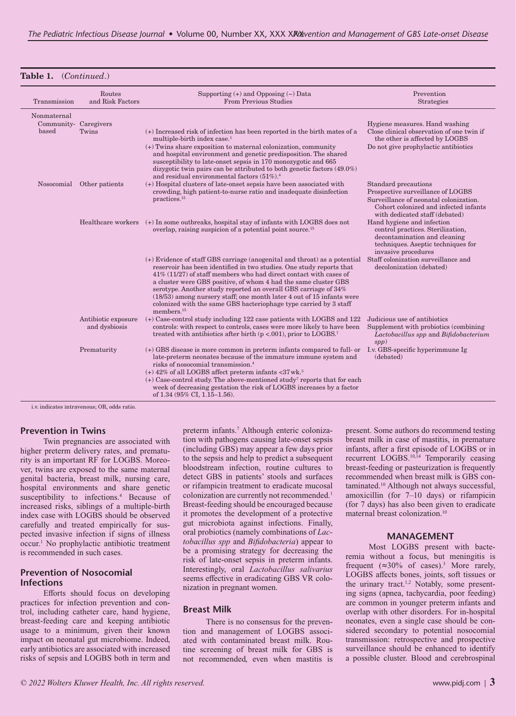## **Table 1.** (*Continued*.)

| Transmission                                  | Routes<br>and Risk Factors           | Supporting $(+)$ and Opposing $(-)$ Data<br><b>From Previous Studies</b>                                                                                                                                                                                                                                                                                                                                                                                                                                                                  | Prevention<br>Strategies                                                                                                                                                       |
|-----------------------------------------------|--------------------------------------|-------------------------------------------------------------------------------------------------------------------------------------------------------------------------------------------------------------------------------------------------------------------------------------------------------------------------------------------------------------------------------------------------------------------------------------------------------------------------------------------------------------------------------------------|--------------------------------------------------------------------------------------------------------------------------------------------------------------------------------|
| Nonmaternal<br>Community- Caregivers<br>based | Twins                                | (+) Increased risk of infection has been reported in the birth mates of a<br>multiple-birth index case. <sup>1</sup>                                                                                                                                                                                                                                                                                                                                                                                                                      | Hygiene measures. Hand washing<br>Close clinical observation of one twin if<br>the other is affected by LOGBS                                                                  |
|                                               |                                      | (+) Twins share exposition to maternal colonization, community<br>and hospital environment and genetic predisposition. The shared<br>susceptibility to late-onset sepsis in 170 monozygotic and 665<br>dizygotic twin pairs can be attributed to both genetic factors $(49.0\%)$<br>and residual environmental factors $(51\%)$ . <sup>4</sup>                                                                                                                                                                                            | Do not give prophylactic antibiotics                                                                                                                                           |
|                                               | Nosocomial Other patients            | (+) Hospital clusters of late-onset sepsis have been associated with<br>crowding, high patient-to-nurse ratio and inadequate disinfection<br>practices. <sup>15</sup>                                                                                                                                                                                                                                                                                                                                                                     | Standard precautions<br>Prospective surveillance of LOGBS<br>Surveillance of neonatal colonization.<br>Cohort colonized and infected infants<br>with dedicated staff (debated) |
|                                               |                                      | Healthcare workers (+) In some outbreaks, hospital stay of infants with LOGBS does not<br>overlap, raising suspicion of a potential point source. <sup>15</sup>                                                                                                                                                                                                                                                                                                                                                                           | Hand hygiene and infection<br>control practices. Sterilization,<br>decontamination and cleaning<br>techniques. Aseptic techniques for<br>invasive procedures                   |
|                                               |                                      | (+) Evidence of staff GBS carriage (anogenital and throat) as a potential<br>reservoir has been identified in two studies. One study reports that<br>$41\%$ (11/27) of staff members who had direct contact with cases of<br>a cluster were GBS positive, of whom 4 had the same cluster GBS<br>serotype. Another study reported an overall GBS carriage of 34%<br>$(18/53)$ among nursery staff; one month later 4 out of 15 infants were<br>colonized with the same GBS bacteriophage type carried by 3 staff<br>members. <sup>15</sup> | Staff colonization surveillance and<br>decolonization (debated)                                                                                                                |
|                                               | Antibiotic exposure<br>and dysbiosis | (+) Case-control study including 122 case patients with LOGBS and 122<br>controls: with respect to controls, cases were more likely to have been<br>treated with antibiotics after birth $(p < .001)$ , prior to LOGBS. <sup>7</sup>                                                                                                                                                                                                                                                                                                      | Judicious use of antibiotics<br>Supplement with probiotics (combining<br>Lactobacillus spp and Bifidobacterium<br>spp)                                                         |
|                                               | Prematurity                          | $(+)$ GBS disease is more common in preterm infants compared to full- or<br>late-preterm neonates because of the immature immune system and<br>risks of nosocomial transmission. <sup>4</sup><br>$(+)$ 42% of all LOGBS affect preterm infants <37 wk. <sup>3</sup>                                                                                                                                                                                                                                                                       | I.v. GBS-specific hyperimmune Ig<br>(debated)                                                                                                                                  |
|                                               |                                      | $(+)$ Case-control study. The above-mentioned study <sup>7</sup> reports that for each<br>week of decreasing gestation the risk of LOGBS increases by a factor<br>of $1.34$ (95% CI, $1.15-1.56$ ).                                                                                                                                                                                                                                                                                                                                       |                                                                                                                                                                                |

i.v. indicates intravenous; OR, odds ratio.

#### **Prevention in Twins**

Twin pregnancies are associated with higher preterm delivery rates, and prematurity is an important RF for LOGBS. Moreover, twins are exposed to the same maternal genital bacteria, breast milk, nursing care, hospital environments and share genetic susceptibility to infections.<sup>4</sup> Because of increased risks, siblings of a multiple-birth index case with LOGBS should be observed carefully and treated empirically for suspected invasive infection if signs of illness occur.1 No prophylactic antibiotic treatment is recommended in such cases.

#### **Prevention of Nosocomial Infections**

Efforts should focus on developing practices for infection prevention and control, including catheter care, hand hygiene, breast-feeding care and keeping antibiotic usage to a minimum, given their known impact on neonatal gut microbiome. Indeed, early antibiotics are associated with increased risks of sepsis and LOGBS both in term and

preterm infants.7 Although enteric colonization with pathogens causing late-onset sepsis (including GBS) may appear a few days prior to the sepsis and help to predict a subsequent bloodstream infection, routine cultures to detect GBS in patients' stools and surfaces or rifampicin treatment to eradicate mucosal colonization are currently not recommended.<sup>1</sup> Breast-feeding should be encouraged because it promotes the development of a protective gut microbiota against infections. Finally, oral probiotics (namely combinations of *Lactobacillus spp* and *Bifidobacteria*) appear to be a promising strategy for decreasing the risk of late-onset sepsis in preterm infants. Interestingly, oral *Lactobacillus salivarius* seems effective in eradicating GBS VR colonization in pregnant women.

#### **Breast Milk**

There is no consensus for the prevention and management of LOGBS associated with contaminated breast milk. Routine screening of breast milk for GBS is not recommended, even when mastitis is present. Some authors do recommend testing breast milk in case of mastitis, in premature infants, after a first episode of LOGBS or in recurrent LOGBS.10,14 Temporarily ceasing breast-feeding or pasteurization is frequently recommended when breast milk is GBS contaminated.10 Although not always successful, amoxicillin (for 7–10 days) or rifampicin (for 7 days) has also been given to eradicate maternal breast colonization.10

#### **MANAGEMENT**

Most LOGBS present with bacteremia without a focus, but meningitis is frequent  $(\approx 30\% \text{ of cases})$ .<sup>3</sup> More rarely, LOGBS affects bones, joints, soft tissues or the urinary tract.<sup>1,2</sup> Notably, some presenting signs (apnea, tachycardia, poor feeding) are common in younger preterm infants and overlap with other disorders. For in-hospital neonates, even a single case should be considered secondary to potential nosocomial transmission: retrospective and prospective surveillance should be enhanced to identify a possible cluster. Blood and cerebrospinal